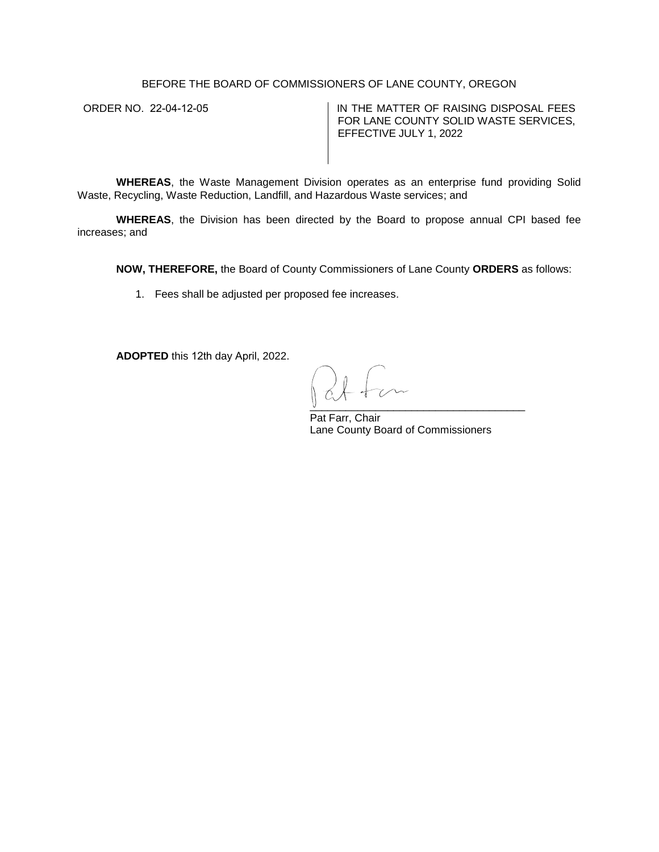## BEFORE THE BOARD OF COMMISSIONERS OF LANE COUNTY, OREGON

ORDER NO. 22-04-12-05  $\vert$  IN THE MATTER OF RAISING DISPOSAL FEES FOR LANE COUNTY SOLID WASTE SERVICES, EFFECTIVE JULY 1, 2022

**WHEREAS**, the Waste Management Division operates as an enterprise fund providing Solid Waste, Recycling, Waste Reduction, Landfill, and Hazardous Waste services; and

**WHEREAS**, the Division has been directed by the Board to propose annual CPI based fee increases; and

**NOW, THEREFORE,** the Board of County Commissioners of Lane County **ORDERS** as follows:

1. Fees shall be adjusted per proposed fee increases.

**ADOPTED** this 12th day April, 2022.

 $\overline{\mathsf{y}}$  ,  $\overline{\mathsf{y}}$  ,  $\overline{\mathsf{y}}$  ,  $\overline{\mathsf{y}}$  ,  $\overline{\mathsf{y}}$  ,  $\overline{\mathsf{y}}$  ,  $\overline{\mathsf{y}}$  ,  $\overline{\mathsf{y}}$  ,  $\overline{\mathsf{y}}$  ,  $\overline{\mathsf{y}}$  ,  $\overline{\mathsf{y}}$  ,  $\overline{\mathsf{y}}$  ,  $\overline{\mathsf{y}}$  ,  $\overline{\mathsf{y}}$  ,  $\overline{\mathsf{y}}$  ,  $\overline{\mathsf{y}}$ 

Pat Farr, Chair Lane County Board of Commissioners